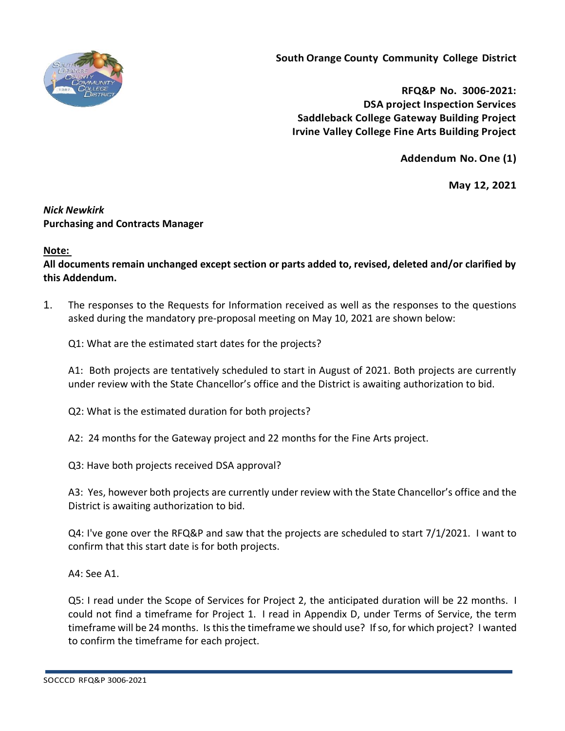

**South Orange County Community College District**

**RFQ&P No. 3006-2021: DSA project Inspection Services Saddleback College Gateway Building Project Irvine Valley College Fine Arts Building Project**

**Addendum No.One (1)**

**May 12, 2021**

## *Nick Newkirk*  **Purchasing and Contracts Manager**

## **Note:**

**All documents remain unchanged except section or parts added to, revised, deleted and/or clarified by this Addendum.**

1. The responses to the Requests for Information received as well as the responses to the questions asked during the mandatory pre-proposal meeting on May 10, 2021 are shown below:

Q1: What are the estimated start dates for the projects?

A1: Both projects are tentatively scheduled to start in August of 2021. Both projects are currently under review with the State Chancellor's office and the District is awaiting authorization to bid.

Q2: What is the estimated duration for both projects?

A2: 24 months for the Gateway project and 22 months for the Fine Arts project.

Q3: Have both projects received DSA approval?

A3: Yes, however both projects are currently under review with the State Chancellor's office and the District is awaiting authorization to bid.

Q4: I've gone over the RFQ&P and saw that the projects are scheduled to start 7/1/2021. I want to confirm that this start date is for both projects.

A4: See A1.

Q5: I read under the Scope of Services for Project 2, the anticipated duration will be 22 months. I could not find a timeframe for Project 1. I read in Appendix D, under Terms of Service, the term timeframe will be 24 months. Is this the timeframe we should use? If so, for which project? I wanted to confirm the timeframe for each project.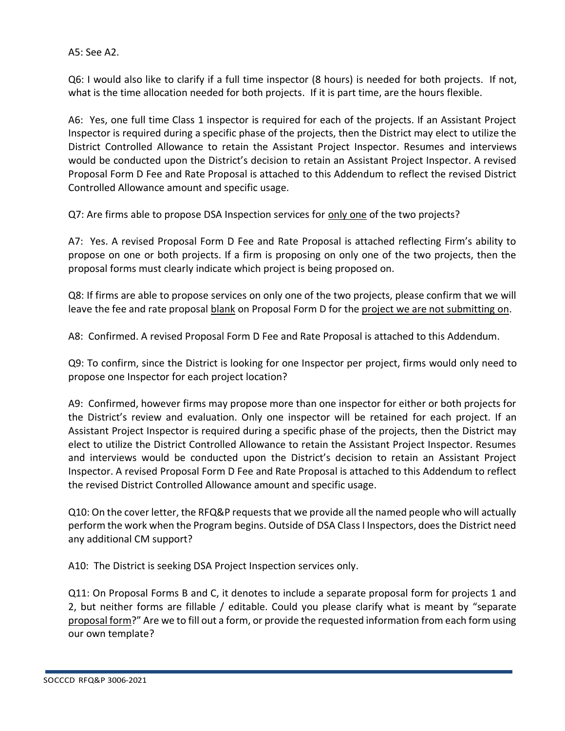A5: See A2.

Q6: I would also like to clarify if a full time inspector (8 hours) is needed for both projects. If not, what is the time allocation needed for both projects. If it is part time, are the hours flexible.

A6: Yes, one full time Class 1 inspector is required for each of the projects. If an Assistant Project Inspector is required during a specific phase of the projects, then the District may elect to utilize the District Controlled Allowance to retain the Assistant Project Inspector. Resumes and interviews would be conducted upon the District's decision to retain an Assistant Project Inspector. A revised Proposal Form D Fee and Rate Proposal is attached to this Addendum to reflect the revised District Controlled Allowance amount and specific usage.

Q7: Are firms able to propose DSA Inspection services for only one of the two projects?

A7: Yes. A revised Proposal Form D Fee and Rate Proposal is attached reflecting Firm's ability to propose on one or both projects. If a firm is proposing on only one of the two projects, then the proposal forms must clearly indicate which project is being proposed on.

Q8: If firms are able to propose services on only one of the two projects, please confirm that we will leave the fee and rate proposal blank on Proposal Form D for the project we are not submitting on.

A8: Confirmed. A revised Proposal Form D Fee and Rate Proposal is attached to this Addendum.

Q9: To confirm, since the District is looking for one Inspector per project, firms would only need to propose one Inspector for each project location?

A9: Confirmed, however firms may propose more than one inspector for either or both projects for the District's review and evaluation. Only one inspector will be retained for each project. If an Assistant Project Inspector is required during a specific phase of the projects, then the District may elect to utilize the District Controlled Allowance to retain the Assistant Project Inspector. Resumes and interviews would be conducted upon the District's decision to retain an Assistant Project Inspector. A revised Proposal Form D Fee and Rate Proposal is attached to this Addendum to reflect the revised District Controlled Allowance amount and specific usage.

Q10: On the cover letter, the RFQ&P requests that we provide all the named people who will actually perform the work when the Program begins. Outside of DSA Class I Inspectors, does the District need any additional CM support?

A10: The District is seeking DSA Project Inspection services only.

Q11: On Proposal Forms B and C, it denotes to include a separate proposal form for projects 1 and 2, but neither forms are fillable / editable. Could you please clarify what is meant by "separate proposal form?" Are we to fill out a form, or provide the requested information from each form using our own template?